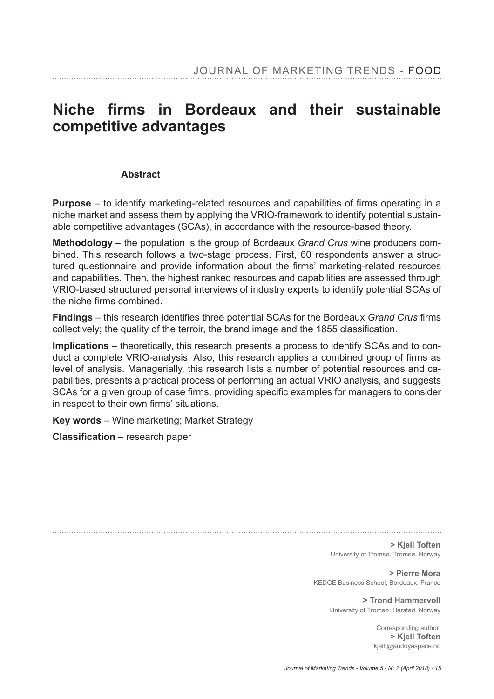# Niche firms in Bordeaux and their sustainable **competitive advantages**

#### **Abstract**

**Purpose** – to identify marketing-related resources and capabilities of firms operating in a niche market and assess them by applying the VRIO-framework to identify potential sustainable competitive advantages (SCAs), in accordance with the resource-based theory.

**Methodology** – the population is the group of Bordeaux *Grand Crus* wine producers combined. This research follows a two-stage process. First, 60 respondents answer a structured questionnaire and provide information about the firms' marketing-related resources and capabilities. Then, the highest ranked resources and capabilities are assessed through VRIO-based structured personal interviews of industry experts to identify potential SCAs of the niche firms combined

**Findings** – this research identifies three potential SCAs for the Bordeaux *Grand Crus* firms collectively; the quality of the terroir, the brand image and the 1855 classification.

**Implications** – theoretically, this research presents a process to identify SCAs and to conduct a complete VRIO-analysis. Also, this research applies a combined group of firms as level of analysis. Managerially, this research lists a number of potential resources and capabilities, presents a practical process of performing an actual VRIO analysis, and suggests SCAs for a given group of case firms, providing specific examples for managers to consider in respect to their own firms' situations.

**Key words** – Wine marketing; Market Strategy

 $\textsf{Classification}$  – research paper

**> Kjell Toften** University of Tromsø, Tromsø, Norway

**> Pierre Mora** KEDGE Business School, Bordeaux, France

> **> Trond Hammervoll** University of Tromsø, Harstad, Norway

> > Corresponding author: **> Kjell Toften** kjellt@andoyaspace.no

*Journal of Marketing Trends - Volume 5 - N° 2 (April 2018) - 15*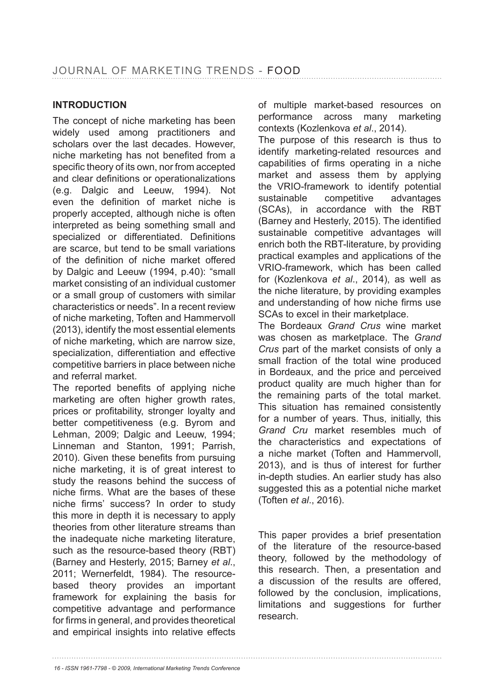### **INTRODUCTION**

The concept of niche marketing has been widely used among practitioners and scholars over the last decades. However, niche marketing has not benefited from a specific theory of its own, nor from accepted and clear definitions or operationalizations (e.g. Dalgic and Leeuw, 1994). Not even the definition of market niche is properly accepted, although niche is often interpreted as being something small and specialized or differentiated. Definitions are scarce, but tend to be small variations of the definition of niche market offered by Dalgic and Leeuw (1994, p.40): "small market consisting of an individual customer or a small group of customers with similar characteristics or needs". In a recent review of niche marketing, Toften and Hammervoll (2013), identify the most essential elements of niche marketing, which are narrow size, specialization, differentiation and effective competitive barriers in place between niche and referral market.

The reported benefits of applying niche marketing are often higher growth rates, prices or profitability, stronger loyalty and better competitiveness (e.g. Byrom and Lehman, 2009; Dalgic and Leeuw, 1994; Linneman and Stanton, 1991; Parrish, 2010). Given these benefits from pursuing niche marketing, it is of great interest to study the reasons behind the success of niche firms. What are the bases of these niche firms' success? In order to study this more in depth it is necessary to apply theories from other literature streams than the inadequate niche marketing literature, such as the resource-based theory (RBT) (Barney and Hesterly, 2015; Barney *et al*., 2011; Wernerfeldt, 1984). The resourcebased theory provides an important framework for explaining the basis for competitive advantage and performance for firms in general, and provides theoretical and empirical insights into relative effects

of multiple market-based resources on performance across many marketing contexts (Kozlenkova *et al*., 2014).

The purpose of this research is thus to identify marketing-related resources and capabilities of firms operating in a niche market and assess them by applying the VRIO-framework to identify potential sustainable competitive advantages (SCAs), in accordance with the RBT (Barney and Hesterly, 2015). The identified sustainable competitive advantages will enrich both the RBT-literature, by providing practical examples and applications of the VRIO-framework, which has been called for (Kozlenkova *et al*., 2014), as well as the niche literature, by providing examples and understanding of how niche firms use SCAs to excel in their marketplace.

The Bordeaux *Grand Crus* wine market was chosen as marketplace. The *Grand Crus* part of the market consists of only a small fraction of the total wine produced in Bordeaux, and the price and perceived product quality are much higher than for the remaining parts of the total market. This situation has remained consistently for a number of years. Thus, initially, this *Grand Cru* market resembles much of the characteristics and expectations of a niche market (Toften and Hammervoll, 2013), and is thus of interest for further in-depth studies. An earlier study has also suggested this as a potential niche market (Toften *et al*., 2016).

This paper provides a brief presentation of the literature of the resource-based theory, followed by the methodology of this research. Then, a presentation and a discussion of the results are offered, followed by the conclusion, implications, limitations and suggestions for further research.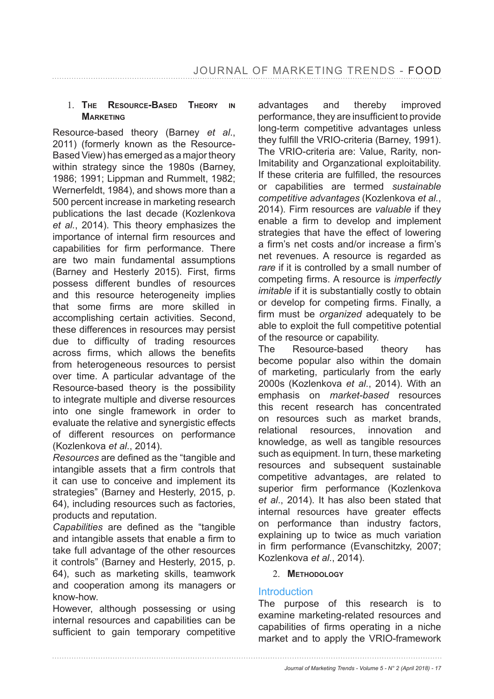#### 1. **THE RESOURCE-BASED THEORY IN MARKETING**

Resource-based theory (Barney *et al*., 2011) (formerly known as the Resource-Based View) has emerged as a major theory within strategy since the 1980s (Barney, 1986; 1991; Lippman and Rummelt, 1982; Wernerfeldt, 1984), and shows more than a 500 percent increase in marketing research publications the last decade (Kozlenkova *et al.*, 2014). This theory emphasizes the importance of internal firm resources and capabilities for firm performance. There are two main fundamental assumptions (Barney and Hesterly 2015). First, firms possess different bundles of resources and this resource heterogeneity implies that some firms are more skilled in accomplishing certain activities. Second, these differences in resources may persist due to difficulty of trading resources across firms, which allows the benefits from heterogeneous resources to persist over time. A particular advantage of the Resource-based theory is the possibility to integrate multiple and diverse resources into one single framework in order to evaluate the relative and synergistic effects of different resources on performance (Kozlenkova *et al*., 2014).

*Resources* are defined as the "tangible and intangible assets that a firm controls that it can use to conceive and implement its strategies" (Barney and Hesterly, 2015, p. 64), including resources such as factories, products and reputation.

*Capabilities* are defined as the "tangible and intangible assets that enable a firm to take full advantage of the other resources it controls" (Barney and Hesterly, 2015, p. 64), such as marketing skills, teamwork and cooperation among its managers or know-how.

However, although possessing or using internal resources and capabilities can be sufficient to gain temporary competitive

advantages and thereby improved performance, they are insufficient to provide long-term competitive advantages unless they fulfill the VRIO-criteria (Barney, 1991). The VRIO-criteria are: Value, Rarity, non-Imitability and Organzational exploitability. If these criteria are fulfilled, the resources or capabilities are termed *sustainable competitive advantages* (Kozlenkova *et al.*, 2014). Firm resources are *valuable* if they enable a firm to develop and implement strategies that have the effect of lowering a firm's net costs and/or increase a firm's net revenues. A resource is regarded as *rare* if it is controlled by a small number of competing firms. A resource is *imperfectly imitable* if it is substantially costly to obtain or develop for competing firms. Finally, a firm must be *organized* adequately to be able to exploit the full competitive potential of the resource or capability.

The Resource-based theory has become popular also within the domain of marketing, particularly from the early 2000s (Kozlenkova *et al*., 2014). With an emphasis on *market-based* resources this recent research has concentrated on resources such as market brands, relational resources, innovation and knowledge, as well as tangible resources such as equipment. In turn, these marketing resources and subsequent sustainable competitive advantages, are related to superior firm performance (Kozlenkova *et al*., 2014). It has also been stated that internal resources have greater effects on performance than industry factors, explaining up to twice as much variation in firm performance (Evanschitzky, 2007; Kozlenkova *et al*., 2014).

#### 2. **METHODOLOGY**

#### **Introduction**

The purpose of this research is to examine marketing-related resources and capabilities of firms operating in a niche market and to apply the VRIO-framework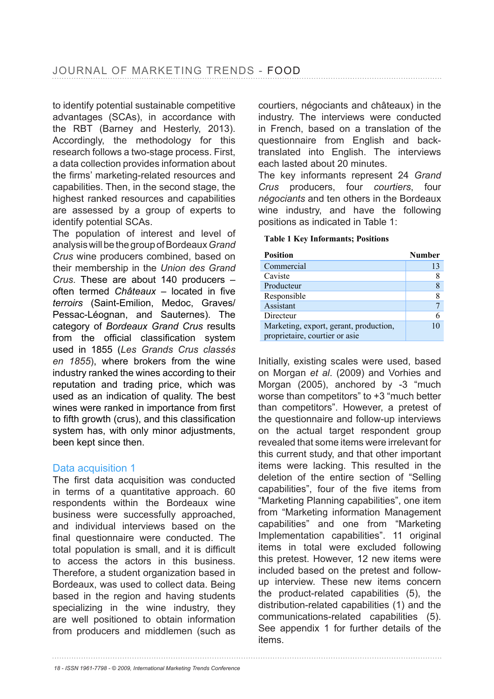to identify potential sustainable competitive advantages (SCAs), in accordance with the RBT (Barney and Hesterly, 2013). Accordingly, the methodology for this research follows a two-stage process. First, a data collection provides information about the firms' marketing-related resources and capabilities. Then, in the second stage, the highest ranked resources and capabilities are assessed by a group of experts to identify potential SCAs.

The population of interest and level of analysis will be the group of Bordeaux *Grand Crus* wine producers combined, based on their membership in the *Union des Grand Crus*. These are about 140 producers – often termed *Châteaux* – located in five *terroirs* (Saint-Emilion, Medoc, Graves/ Pessac-Léognan, and Sauternes). The category of *Bordeaux Grand Crus* results from the official classification system used in 1855 (*Les Grands Crus classés en 1855*), where brokers from the wine industry ranked the wines according to their reputation and trading price, which was used as an indication of quality. The best wines were ranked in importance from first to fifth growth (crus), and this classification system has, with only minor adjustments, been kept since then.

#### Data acquisition 1

The first data acquisition was conducted in terms of a quantitative approach. 60 respondents within the Bordeaux wine business were successfully approached, and individual interviews based on the final questionnaire were conducted. The total population is small, and it is difficult to access the actors in this business. Therefore, a student organization based in Bordeaux, was used to collect data. Being based in the region and having students specializing in the wine industry, they are well positioned to obtain information from producers and middlemen (such as

courtiers, négociants and châteaux) in the industry. The interviews were conducted in French, based on a translation of the questionnaire from English and backtranslated into English. The interviews each lasted about 20 minutes.

The key informants represent 24 *Grand Crus* producers, four *courtiers*, four *négociants* and ten others in the Bordeaux wine industry, and have the following positions as indicated in Table 1:

#### **Table 1 Key Informants; Positions**

| <b>Position</b>                                                          | <b>Number</b> |
|--------------------------------------------------------------------------|---------------|
| Commercial                                                               | 13            |
| Caviste                                                                  | 8             |
| Producteur                                                               | $\,$ 8 $\,$   |
| Responsible                                                              | 8             |
| Assistant                                                                |               |
| Directeur                                                                | 6             |
| Marketing, export, gerant, production,<br>proprietaire, courtier or asie | 10            |
|                                                                          |               |

Initially, existing scales were used, based on Morgan *et al*. (2009) and Vorhies and Morgan (2005), anchored by -3 "much worse than competitors" to +3 "much better than competitors". However, a pretest of the questionnaire and follow-up interviews on the actual target respondent group revealed that some items were irrelevant for this current study, and that other important items were lacking. This resulted in the deletion of the entire section of "Selling capabilities", four of the five items from "Marketing Planning capabilities", one item from "Marketing information Management capabilities" and one from "Marketing Implementation capabilities". 11 original items in total were excluded following this pretest. However, 12 new items were included based on the pretest and followup interview. These new items concern the product-related capabilities (5), the distribution-related capabilities (1) and the communications-related capabilities (5). See appendix 1 for further details of the items.

*<sup>18 -</sup> ISSN 1961-7798 - © 2009, International Marketing Trends Conference*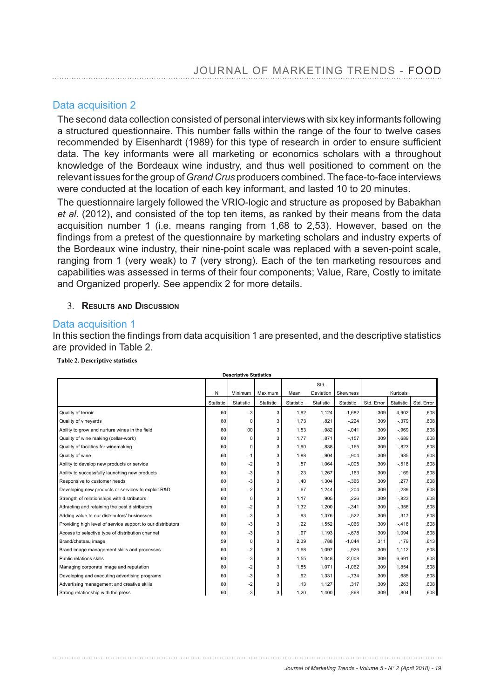### Data acquisition 2

The second data collection consisted of personal interviews with six key informants following a structured questionnaire. This number falls within the range of the four to twelve cases recommended by Eisenhardt (1989) for this type of research in order to ensure sufficient data. The key informants were all marketing or economics scholars with a throughout knowledge of the Bordeaux wine industry, and thus well positioned to comment on the relevant issues for the group of *Grand Crus* producers combined. The face-to-face interviews were conducted at the location of each key informant, and lasted 10 to 20 minutes.

The questionnaire largely followed the VRIO-logic and structure as proposed by Babakhan *et al*. (2012), and consisted of the top ten items, as ranked by their means from the data acquisition number 1 (i.e. means ranging from 1,68 to 2,53). However, based on the findings from a pretest of the questionnaire by marketing scholars and industry experts of the Bordeaux wine industry, their nine-point scale was replaced with a seven-point scale, ranging from 1 (very weak) to 7 (very strong). Each of the ten marketing resources and capabilities was assessed in terms of their four components; Value, Rare, Costly to imitate and Organized properly. See appendix 2 for more details.

#### 3. **RESULTS AND DISCUSSION**

#### Data acquisition 1

In this section the findings from data acquisition 1 are presented, and the descriptive statistics are provided in Table 2.

**Table 2. Descriptive statistics**

|                                                             |           | Descriptive otatistics |           |           |           |           |            |           |            |
|-------------------------------------------------------------|-----------|------------------------|-----------|-----------|-----------|-----------|------------|-----------|------------|
|                                                             |           |                        |           |           | Std.      |           |            |           |            |
|                                                             | N         | Minimum                | Maximum   | Mean      | Deviation | Skewness  | Kurtosis   |           |            |
|                                                             | Statistic | Statistic              | Statistic | Statistic | Statistic | Statistic | Std. Error | Statistic | Std. Error |
| Quality of terroir                                          | 60        | $-3$                   | 3         | 1,92      | 1,124     | $-1,682$  | ,309       | 4.902     | .608       |
| Quality of vineyards                                        | 60        | 0                      | 3         | 1,73      | .821      | $-.224$   | ,309       | $-.379$   | .608       |
| Ability to grow and nurture wines in the field              | 60        | 00                     | 3         | 1,53      | .982      | $-.041$   | ,309       | $-0.969$  | .608       |
| Quality of wine making (cellar-work)                        | 60        | 0                      | 3         | 1,77      | ,871      | $-157$    | ,309       | $-0.689$  | .608       |
| Quality of facilities for winemaking                        | 60        | 0                      | 3         | 1,90      | .838      | $-0.165$  | ,309       | $-.823$   | .608       |
| Quality of wine                                             | 60        | $-1$                   | 3         | 1,88      | ,904      | $-.904$   | ,309       | .985      | .608       |
| Ability to develop new products or service                  | 60        | $-2$                   | 3         | ,57       | 1,064     | $-.005$   | ,309       | $-.518$   | .608       |
| Ability to successfully launching new products              | 60        | $-3$                   | 3         | .23       | 1,267     | .163      | ,309       | .169      | .608       |
| Responsive to customer needs                                | 60        | -3                     | 3         | ,40       | 1,304     | $-0.366$  | ,309       | ,277      | .608       |
| Developing new products or services to exploit R&D          | 60        | -2                     | 3         | .67       | 1,244     | $-.204$   | ,309       | $-.289$   | .608       |
| Strength of relationships with distributors                 | 60        | 0                      | 3         | 1,17      | ,905      | ,226      | ,309       | $-.823$   | .608       |
| Attracting and retaining the best distributors              | 60        | $-2$                   | 3         | 1,32      | 1,200     | $-.341$   | ,309       | $-.356$   | .608       |
| Adding value to our distributors' businesses                | 60        | $-3$                   | 3         | .93       | 1,376     | $-.522$   | ,309       | .317      | .608       |
| Providing high level of service support to our distributors | 60        | -3                     | 3         | ,22       | 1,552     | $-0.066$  | ,309       | $-.416$   | .608       |
| Access to selective type of distribution channel            | 60        | $-3$                   | 3         | ,97       | 1,193     | $-.678$   | ,309       | 1,094     | .608       |
| Brand/chateau image                                         | 59        | 0                      | 3         | 2,39      | .788      | $-1,044$  | .311       | .179      | ,613       |
| Brand image management skills and processes                 | 60        | -2                     | 3         | 1,68      | 1,097     | $-.926$   | ,309       | 1,112     | .608       |
| Public relations skills                                     | 60        | $-3$                   | 3         | 1,55      | 1,048     | $-2.008$  | ,309       | 6.691     | .608       |
| Managing corporate image and reputation                     | 60        | $-2$                   | 3         | 1,85      | 1,071     | $-1,062$  | ,309       | 1,854     | .608       |
| Developing and executing advertising programs               | 60        | -3                     | 3         | ,92       | 1,331     | $-.734$   | ,309       | .685      | .608       |
| Advertising management and creative skills                  | 60        | $-2$                   | 3         | .13       | 1,127     | ,317      | ,309       | ,263      | ,608       |
| Strong relationship with the press                          | 60        | -3                     | 3         | 1,20      | 1,400     | $-0.868$  | ,309       | .804      | .608       |

#### **Descriptive Statistics**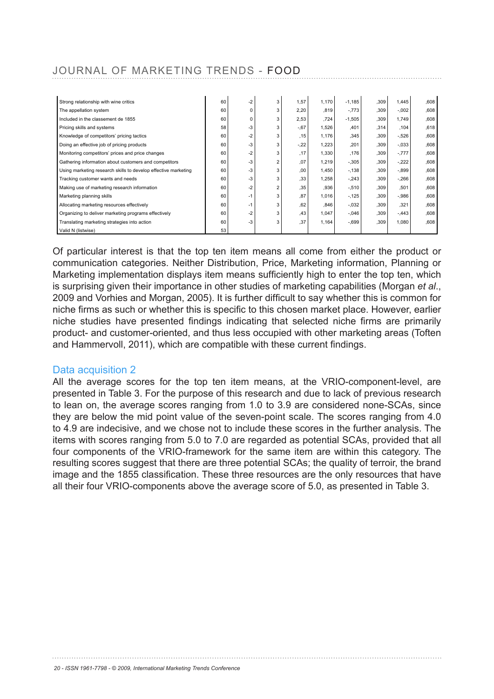| Strong relationship with wine critics                          | 60 | -2   | 3 | 1,57    | 1,170 | $-1,185$ | .309 | 1,445    | .608 |
|----------------------------------------------------------------|----|------|---|---------|-------|----------|------|----------|------|
| The appellation system                                         | 60 | 0    | 3 | 2,20    | .819  | $-.773$  | .309 | $-.002$  | .608 |
| Included in the classement de 1855                             | 60 | 0    | 3 | 2,53    | .724  | $-1,505$ | .309 | 1.749    | .608 |
| Pricing skills and systems                                     | 58 | -3   | 3 | $-0.67$ | 1,526 | ,401     | ,314 | ,104     | ,618 |
| Knowledge of competitors' pricing tactics                      | 60 | -2   | 3 | .15     | 1,176 | .345     | ,309 | $-.526$  | ,608 |
| Doing an effective job of pricing products                     | 60 | -3   | 3 | $-.22$  | 1,223 | ,201     | .309 | $-.033$  | .608 |
| Monitoring competitors' prices and price changes               | 60 | -2   | 3 | ,17     | 1,330 | .176     | .309 | $-777$   | .608 |
| Gathering information about customers and competitors          | 60 | $-3$ | 2 | ,07     | 1,219 | $-.305$  | .309 | $-.222$  | .608 |
| Using marketing research skills to develop effective marketing | 60 | $-3$ | 3 | .00     | 1,450 | $-138$   | .309 | $-.899$  | .608 |
| Tracking customer wants and needs                              | 60 | $-3$ | 3 | ,33     | 1,258 | $-.243$  | .309 | $-.266$  | .608 |
| Making use of marketing research information                   | 60 | -2   | 2 | 35.     | ,936  | $-.510$  | .309 | ,501     | .608 |
| Marketing planning skills                                      | 60 | -1   | 3 | .87     | 1,016 | $-125$   | .309 | $-0.986$ | .608 |
| Allocating marketing resources effectively                     | 60 | $-1$ | 3 | ,62     | .846  | $-.032$  | ,309 | .321     | .608 |
| Organizing to deliver marketing programs effectively           | 60 | $-2$ | 3 | .43     | 1,047 | $-.046$  | .309 | $-.443$  | .608 |
| Translating marketing strategies into action                   | 60 | -3   | 3 | ,37     | 1,164 | $-.699$  | .309 | 1,080    | .608 |
| Valid N (listwise)                                             | 53 |      |   |         |       |          |      |          |      |

Of particular interest is that the top ten item means all come from either the product or communication categories. Neither Distribution, Price, Marketing information, Planning or Marketing implementation displays item means sufficiently high to enter the top ten, which is surprising given their importance in other studies of marketing capabilities (Morgan *et al*., 2009 and Vorhies and Morgan, 2005). It is further difficult to say whether this is common for niche firms as such or whether this is specific to this chosen market place. However, earlier niche studies have presented findings indicating that selected niche firms are primarily product- and customer-oriented, and thus less occupied with other marketing areas (Toften and Hammervoll, 2011), which are compatible with these current findings.

#### Data acquisition 2

All the average scores for the top ten item means, at the VRIO-component-level, are presented in Table 3. For the purpose of this research and due to lack of previous research to lean on, the average scores ranging from 1.0 to 3.9 are considered none-SCAs, since they are below the mid point value of the seven-point scale. The scores ranging from 4.0 to 4.9 are indecisive, and we chose not to include these scores in the further analysis. The items with scores ranging from 5.0 to 7.0 are regarded as potential SCAs, provided that all four components of the VRIO-framework for the same item are within this category. The resulting scores suggest that there are three potential SCAs; the quality of terroir, the brand image and the 1855 classification. These three resources are the only resources that have all their four VRIO-components above the average score of 5.0, as presented in Table 3.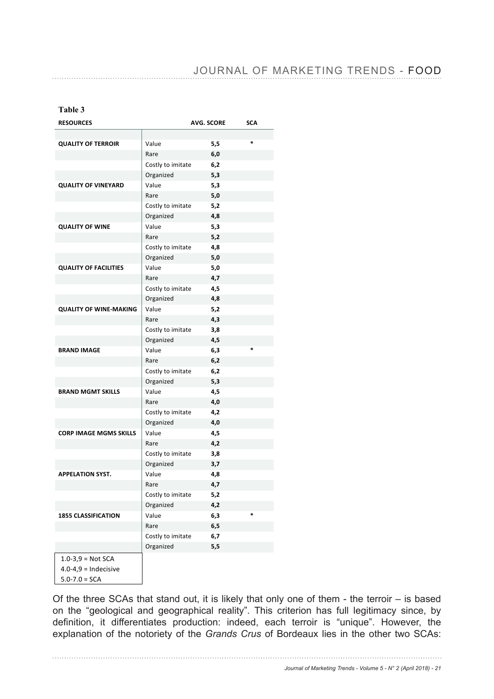#### **Table 3**

| <b>RESOURCES</b>              |                   | <b>AVG. SCORE</b> | <b>SCA</b> |
|-------------------------------|-------------------|-------------------|------------|
|                               |                   |                   |            |
| <b>QUALITY OF TERROIR</b>     | Value             | 5,5               | $\ast$     |
|                               | Rare              | 6,0               |            |
|                               | Costly to imitate | 6,2               |            |
|                               | Organized         | 5,3               |            |
| <b>QUALITY OF VINEYARD</b>    | Value             | 5,3               |            |
|                               | Rare              | 5,0               |            |
|                               | Costly to imitate | 5,2               |            |
|                               | Organized         | 4,8               |            |
| <b>QUALITY OF WINE</b>        | Value             | 5,3               |            |
|                               | Rare              | 5,2               |            |
|                               | Costly to imitate | 4,8               |            |
|                               | Organized         | 5,0               |            |
| <b>QUALITY OF FACILITIES</b>  | Value             | 5,0               |            |
|                               | Rare              | 4,7               |            |
|                               | Costly to imitate | 4,5               |            |
|                               | Organized         | 4,8               |            |
| <b>QUALITY OF WINE-MAKING</b> | Value             | 5,2               |            |
|                               | Rare              | 4,3               |            |
|                               | Costly to imitate | 3,8               |            |
|                               | Organized         | 4,5               |            |
| <b>BRAND IMAGE</b>            | Value             | 6,3               | $\ast$     |
|                               | Rare              | 6,2               |            |
|                               | Costly to imitate | 6,2               |            |
|                               | Organized         | 5,3               |            |
| <b>BRAND MGMT SKILLS</b>      | Value             | 4,5               |            |
|                               | Rare              | 4,0               |            |
|                               | Costly to imitate | 4,2               |            |
|                               | Organized         | 4,0               |            |
| <b>CORP IMAGE MGMS SKILLS</b> | Value             | 4,5               |            |
|                               | Rare              | 4,2               |            |
|                               | Costly to imitate | 3,8               |            |
|                               | Organized         | 3,7               |            |
| <b>APPELATION SYST.</b>       | Value             | 4,8               |            |
|                               | Rare              | 4,7               |            |
|                               | Costly to imitate | 5,2               |            |
|                               | Organized         | 4,2               |            |
| <b>1855 CLASSIFICATION</b>    | Value             | 6,3               | *          |
|                               | Rare              | 6,5               |            |
|                               | Costly to imitate | 6,7               |            |
|                               | Organized         | 5,5               |            |
| $1.0 - 3.9 =$ Not SCA         |                   |                   |            |
| $4.0 - 4.9 =$ Indecisive      |                   |                   |            |
| $5.0 - 7.0 = SCA$             |                   |                   |            |

Of the three SCAs that stand out, it is likely that only one of them - the terroir  $-$  is based on the "geological and geographical reality". This criterion has full legitimacy since, by definition, it differentiates production: indeed, each terroir is "unique". However, the explanation of the notoriety of the *Grands Crus* of Bordeaux lies in the other two SCAs: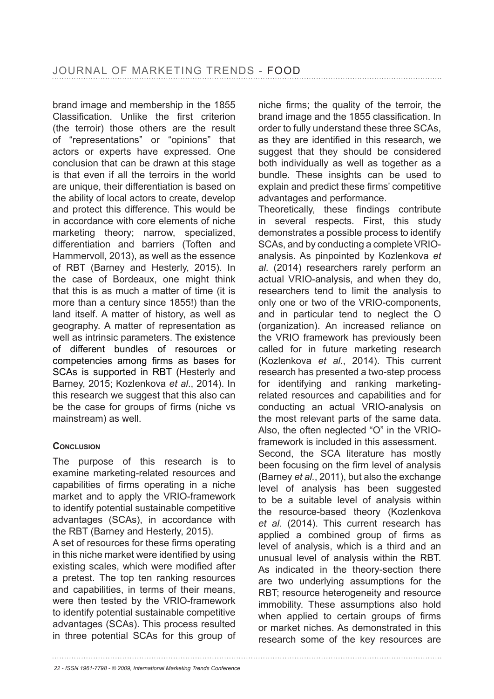brand image and membership in the 1855 Classification. Unlike the first criterion (the terroir) those others are the result of "representations" or "opinions" that actors or experts have expressed. One conclusion that can be drawn at this stage is that even if all the terroirs in the world are unique, their differentiation is based on the ability of local actors to create, develop and protect this difference. This would be in accordance with core elements of niche marketing theory; narrow, specialized, differentiation and barriers (Toften and Hammervoll, 2013), as well as the essence of RBT (Barney and Hesterly, 2015). In the case of Bordeaux, one might think that this is as much a matter of time (it is more than a century since 1855!) than the land itself. A matter of history, as well as geography. A matter of representation as well as intrinsic parameters. The existence of different bundles of resources or competencies among firms as bases for SCAs is supported in RBT (Hesterly and Barney, 2015; Kozlenkova *et al*., 2014). In this research we suggest that this also can be the case for groups of firms (niche vs mainstream) as well.

#### **CONCLUSION**

The purpose of this research is to examine marketing-related resources and capabilities of firms operating in a niche market and to apply the VRIO-framework to identify potential sustainable competitive advantages (SCAs), in accordance with the RBT (Barney and Hesterly, 2015).

A set of resources for these firms operating in this niche market were identified by using existing scales, which were modified after a pretest. The top ten ranking resources and capabilities, in terms of their means, were then tested by the VRIO-framework to identify potential sustainable competitive advantages (SCAs). This process resulted in three potential SCAs for this group of niche firms; the quality of the terroir, the brand image and the 1855 classification. In order to fully understand these three SCAs, as they are identified in this research, we suggest that they should be considered both individually as well as together as a bundle. These insights can be used to explain and predict these firms' competitive advantages and performance.

Theoretically, these findings contribute in several respects. First, this study demonstrates a possible process to identify SCAs, and by conducting a complete VRIOanalysis. As pinpointed by Kozlenkova *et al*. (2014) researchers rarely perform an actual VRIO-analysis, and when they do, researchers tend to limit the analysis to only one or two of the VRIO-components, and in particular tend to neglect the O (organization). An increased reliance on the VRIO framework has previously been called for in future marketing research (Kozlenkova *et al*., 2014). This current research has presented a two-step process for identifying and ranking marketingrelated resources and capabilities and for conducting an actual VRIO-analysis on the most relevant parts of the same data. Also, the often neglected "O" in the VRIOframework is included in this assessment. Second, the SCA literature has mostly been focusing on the firm level of analysis (Barney *et al.*, 2011), but also the exchange level of analysis has been suggested to be a suitable level of analysis within the resource-based theory (Kozlenkova *et al*. (2014). This current research has applied a combined group of firms as level of analysis, which is a third and an unusual level of analysis within the RBT. As indicated in the theory-section there are two underlying assumptions for the RBT; resource heterogeneity and resource immobility. These assumptions also hold when applied to certain groups of firms or market niches. As demonstrated in this research some of the key resources are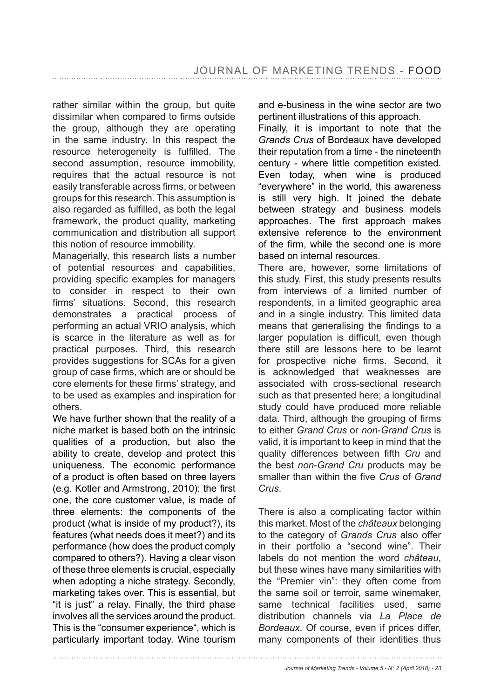rather similar within the group, but quite dissimilar when compared to firms outside the group, although they are operating in the same industry. In this respect the resource heterogeneity is fulfilled. The second assumption, resource immobility, requires that the actual resource is not easily transferable across firms, or between groups for this research. This assumption is also regarded as fulfilled, as both the legal framework, the product quality, marketing communication and distribution all support this notion of resource immobility.

Managerially, this research lists a number of potential resources and capabilities, providing specific examples for managers to consider in respect to their own firms' situations. Second, this research demonstrates a practical process of performing an actual VRIO analysis, which is scarce in the literature as well as for practical purposes. Third, this research provides suggestions for SCAs for a given group of case firms, which are or should be core elements for these firms' strategy, and to be used as examples and inspiration for others.

We have further shown that the reality of a niche market is based both on the intrinsic qualities of a production, but also the ability to create, develop and protect this uniqueness. The economic performance of a product is often based on three layers (e.g. Kotler and Armstrong, 2010): the first one, the core customer value, is made of three elements: the components of the product (what is inside of my product?), its features (what needs does it meet?) and its performance (how does the product comply compared to others?). Having a clear vison of these three elements is crucial, especially when adopting a niche strategy. Secondly, marketing takes over. This is essential, but "it is just" a relay. Finally, the third phase involves all the services around the product. This is the "consumer experience", which is particularly important today. Wine tourism

and e-business in the wine sector are two pertinent illustrations of this approach.

Finally, it is important to note that the *Grands Crus* of Bordeaux have developed their reputation from a time - the nineteenth century - where little competition existed. Even today, when wine is produced "everywhere" in the world, this awareness is still very high. It joined the debate between strategy and business models approaches. The first approach makes extensive reference to the environment of the firm, while the second one is more based on internal resources.

There are, however, some limitations of this study. First, this study presents results from interviews of a limited number of respondents, in a limited geographic area and in a single industry. This limited data means that generalising the findings to a larger population is difficult, even though there still are lessons here to be learnt for prospective niche firms. Second, it is acknowledged that weaknesses are associated with cross-sectional research such as that presented here; a longitudinal study could have produced more reliable data. Third, although the grouping of firms to either *Grand Crus* or *non*-*Grand Crus* is valid, it is important to keep in mind that the quality differences between fifth *Cru* and the best *non*-*Grand Cru* products may be smaller than within the five *Crus* of *Grand Crus*.

There is also a complicating factor within this market. Most of the *châteaux* belonging to the category of *Grands Crus* also offer in their portfolio a "second wine". Their labels do not mention the word *château*, but these wines have many similarities with the "Premier vin": they often come from the same soil or terroir, same winemaker, same technical facilities used, same distribution channels via *La Place de Bordeaux*. Of course, even if prices differ, many components of their identities thus

*Journal of Marketing Trends - Volume 5 - N° 2 (April 2018) - 23*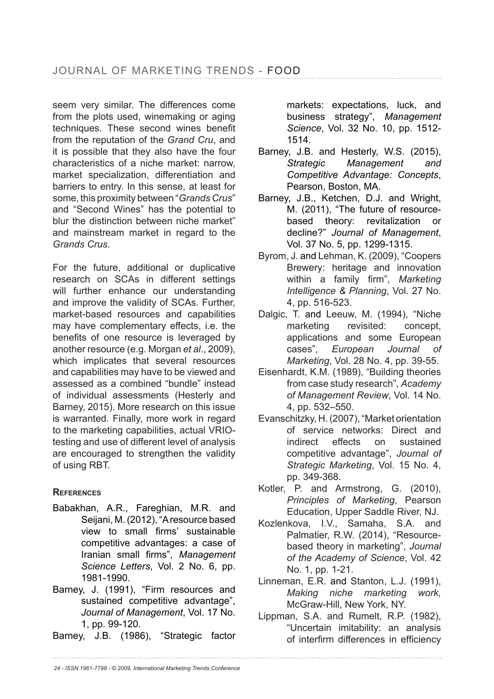seem very similar. The differences come from the plots used, winemaking or aging techniques. These second wines benefit from the reputation of the *Grand Cru*, and it is possible that they also have the four characteristics of a niche market: narrow, market specialization, differentiation and barriers to entry. In this sense, at least for some, this proximity between "*Grands Crus*" and "Second Wines" has the potential to blur the distinction between niche market" and mainstream market in regard to the *Grands Crus*.

For the future, additional or duplicative research on SCAs in different settings will further enhance our understanding and improve the validity of SCAs. Further, market-based resources and capabilities may have complementary effects, i.e. the benefits of one resource is leveraged by another resource (e.g. Morgan *et al*., 2009), which implicates that several resources and capabilities may have to be viewed and assessed as a combined "bundle" instead of individual assessments (Hesterly and Barney, 2015). More research on this issue is warranted. Finally, more work in regard to the marketing capabilities, actual VRIOtesting and use of different level of analysis are encouraged to strengthen the validity of using RBT.

### **REFERENCES**

- Babakhan, A.R., Fareghian, M.R. and Seijani, M. (2012), "A resource based view to small firms' sustainable competitive advantages: a case of Iranian small firms", Management *Science Letters*, Vol. 2 No. 6, pp. 1981-1990.
- Barney, J. (1991), "Firm resources and sustained competitive advantage", Journal of Management, Vol. 17 No. 1, pp. 99-120.
- Barney, J.B. (1986), "Strategic factor

markets: expectations, luck, and business strategy", *Management Science*, Vol. 32 No. 10, pp. 1512- 1514.

- Barney, J.B. and Hesterly, W.S. (2015), *Strategic Management and Competitive Advantage: Concepts*, Pearson, Boston, MA.
- Barney, J.B., Ketchen, D.J. and Wright, M. (2011), "The future of resourcebased theory: revitalization or decline?" Journal of Management, Vol. 37 No. 5, pp. 1299-1315.
- Byrom, J. and Lehman, K. (2009), "Coopers Brewery: heritage and innovation within a family firm", Marketing *Intelligence & Planning, Vol. 27 No.* 4, pp. 516-523.
- Dalgic, T. and Leeuw, M. (1994), "Niche marketing revisited: concept. applications and some European cases", *European Journal of Marketing*, Vol. 28 No. 4, pp. 39-55.
- Eisenhardt, K.M. (1989), "Building theories from case study research", *Academy of Management Review*, Vol. 14 No. 4, pp. 532–550.
- Evanschitzky, H. (2007), "Market orientation of service networks: Direct and indirect effects on sustained competitive advantage", *Journal of Strategic Marketing*, Vol. 15 No. 4, pp. 349-368.
- Kotler, P. and Armstrong, G. (2010), *Principles of Marketing*, Pearson Education, Upper Saddle River, NJ.
- Kozlenkova, I.V., Samaha, S.A. and Palmatier, R.W. (2014), "Resourcebased theory in marketing", *Journal of the Academy of Science*, Vol. 42 No. 1, pp. 1-21.
- Linneman, E.R. and Stanton, L.J. (1991), *Making niche marketing work,* McGraw-Hill, New York, NY.
- Lippman, S.A. and Rumelt, R.P. (1982), "Uncertain imitability: an analysis of interfirm differences in efficiency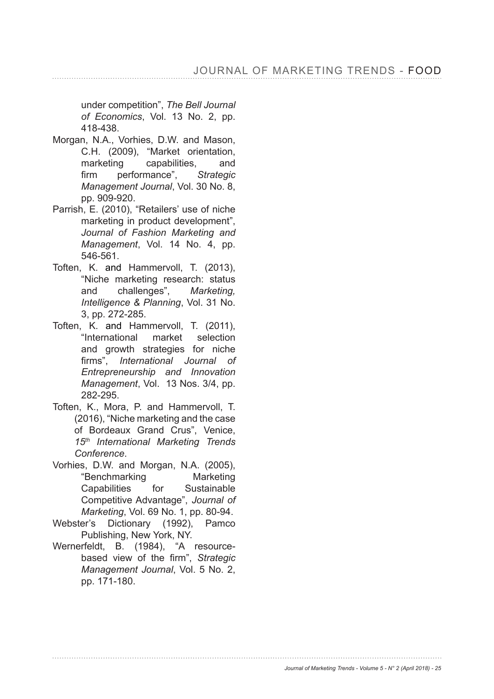under competition", *The Bell Journal of Economics*, Vol. 13 No. 2, pp. 418-438.

- Morgan, N.A., Vorhies, D.W. and Mason, C.H. (2009), "Market orientation, marketing capabilities, and firm performance", Strategic *Management Journal*, Vol. 30 No. 8, pp. 909-920.
- Parrish, E. (2010), "Retailers' use of niche marketing in product development", *Journal of Fashion Marketing and Management*, Vol. 14 No. 4, pp. 546-561.
- Toften, K. and Hammervoll, T. (2013), "Niche marketing research: status and challenges", *Marketing, Intelligence & Planning*, Vol. 31 No. 3. pp. 272-285.
- Toften, K. and Hammervoll, T. (2011), "International market selection and growth strategies for niche firms", International Journal of *Entrepreneurship and Innovation Management*, Vol. 13 Nos. 3/4, pp. 282-295.
- Toften, K., Mora, P. and Hammervoll, T. (2016), "Niche marketing and the case of Bordeaux Grand Crus", Venice, *15th International Marketing Trends Conference*.
- Vorhies, D.W. and Morgan, N.A. (2005), "Benchmarking Marketing Capabilities for Sustainable Competitive Advantage", *Journal of Marketing*, Vol. 69 No. 1, pp. 80-94.
- Webster's Dictionary (1992), Pamco Publishing, New York, NY.
- Wernerfeldt, B. (1984), "A resourcebased view of the firm", Strategic *Management Journal*, Vol. 5 No. 2, pp. 171-180.

*Journal of Marketing Trends - Volume 5 - N° 2 (April 2018) - 25*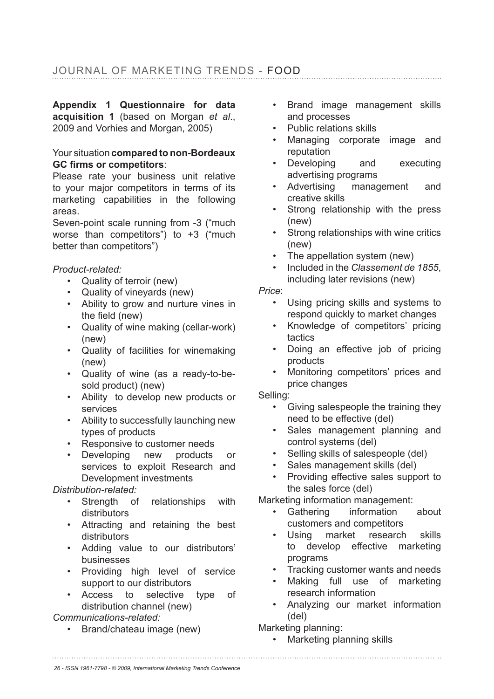Appendix 1 Questionnaire for data acquisition 1 (based on Morgan *et al.*, 2009 and Vorhies and Morgan, 2005)

#### Your situation compared to non-Bordeaux **GC firms or competitors:**

Please rate your business unit relative to your major competitors in terms of its marketing capabilities in the following areas.

Seven-point scale running from -3 ("much worse than competitors") to +3 ("much better than competitors")

*Product-related:*

- Quality of terroir (new)
- Quality of vineyards (new)
- Ability to grow and nurture vines in the field  $(new)$
- Quality of wine making (cellar-work) (new)
- Quality of facilities for winemaking (new)
- Quality of wine (as a ready-to-besold product) (new)
- Ability to develop new products or services
- Ability to successfully launching new types of products
- Responsive to customer needs
- Developing new products or services to exploit Research and Development investments

#### *Distribution-related:*

- Strength of relationships with distributors
- Attracting and retaining the best distributors
- Adding value to our distributors' businesses
- Providing high level of service support to our distributors
- Access to selective type of distribution channel (new)

#### *Communications-related:*

• Brand/chateau image (new)

- Brand image management skills and processes
- Public relations skills
- Managing corporate image and reputation
- Developing and executing advertising programs
- Advertising management and creative skills
- Strong relationship with the press (new)
- Strong relationships with wine critics (new)
- The appellation system (new)
- Included in the *Classement de 1855*, including later revisions (new)
- *Price*:
	- Using pricing skills and systems to respond quickly to market changes
	- Knowledge of competitors' pricing tactics
	- Doing an effective job of pricing products
	- Monitoring competitors' prices and price changes

Selling:

- Giving salespeople the training they need to be effective (del)
- Sales management planning and control systems (del)
- Selling skills of salespeople (del)
- Sales management skills (del)
- Providing effective sales support to the sales force (del)

Marketing information management:

- Gathering information about customers and competitors
- Using market research skills to develop effective marketing programs
- Tracking customer wants and needs
- Making full use of marketing research information
- Analyzing our market information (del)
- Marketing planning:
	- Marketing planning skills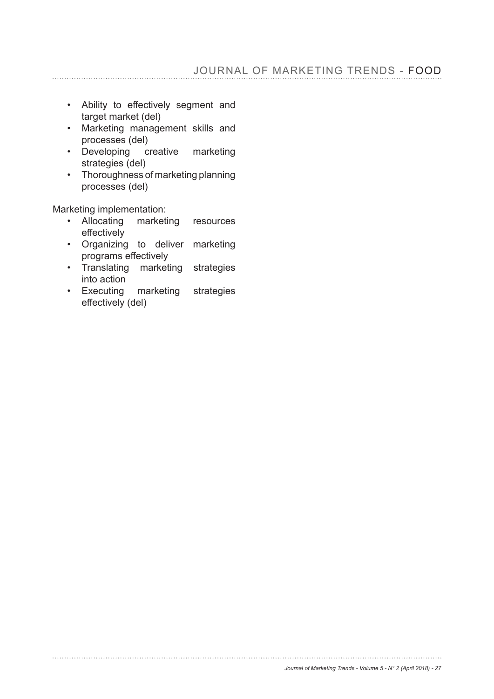- Ability to effectively segment and target market (del)
- Marketing management skills and processes (del)
- Developing creative marketing strategies (del)
- Thoroughness of marketing planning processes (del)

Marketing implementation:

- Allocating marketing resources effectively
- Organizing to deliver marketing programs effectively
- Translating marketing strategies into action
- Executing marketing strategies effectively (del)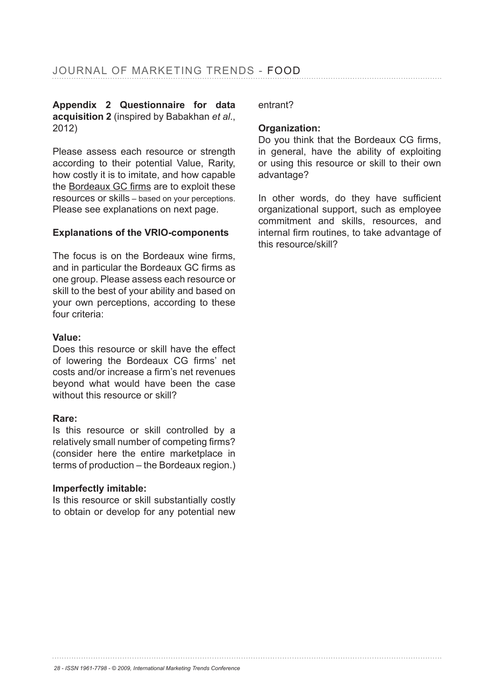#### Appendix 2 Questionnaire for data acquisition 2 (inspired by Babakhan *et al.*, 2012)

Please assess each resource or strength according to their potential Value, Rarity, how costly it is to imitate, and how capable the Bordeaux GC firms are to exploit these resources or skills – based on your perceptions. Please see explanations on next page.

#### Explanations of the VRIO-components

The focus is on the Bordeaux wine firms, and in particular the Bordeaux GC firms as one group. Please assess each resource or skill to the best of your ability and based on your own perceptions, according to these four criteria:

#### **Value:**

Does this resource or skill have the effect of lowering the Bordeaux CG firms' net costs and/or increase a firm's net revenues beyond what would have been the case without this resource or skill?

#### **Rare:**

Is this resource or skill controlled by a relatively small number of competing firms? (consider here the entire marketplace in terms of production – the Bordeaux region.)

#### **Imperfectly imitable:**

Is this resource or skill substantially costly to obtain or develop for any potential new entrant?

#### **Organization:**

Do you think that the Bordeaux CG firms, in general, have the ability of exploiting or using this resource or skill to their own advantage?

In other words, do they have sufficient organizational support, such as employee commitment and skills, resources, and internal firm routines, to take advantage of this resource/skill?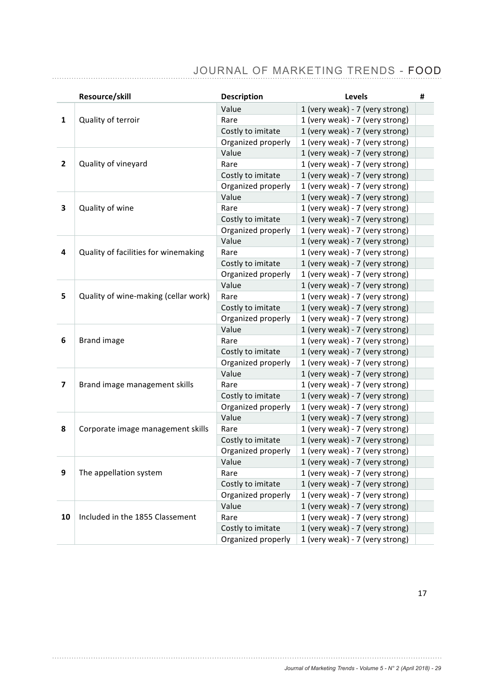|              | Resource/skill                       | <b>Description</b> | Levels                          | # |
|--------------|--------------------------------------|--------------------|---------------------------------|---|
|              | Quality of terroir                   | Value              | 1 (very weak) - 7 (very strong) |   |
| 1            |                                      | Rare               | 1 (very weak) - 7 (very strong) |   |
|              |                                      | Costly to imitate  | 1 (very weak) - 7 (very strong) |   |
|              |                                      | Organized properly | 1 (very weak) - 7 (very strong) |   |
|              |                                      | Value              | 1 (very weak) - 7 (very strong) |   |
| $\mathbf{2}$ | Quality of vineyard                  | Rare               | 1 (very weak) - 7 (very strong) |   |
|              |                                      | Costly to imitate  | 1 (very weak) - 7 (very strong) |   |
|              |                                      | Organized properly | 1 (very weak) - 7 (very strong) |   |
|              | Quality of wine                      | Value              | 1 (very weak) - 7 (very strong) |   |
| 3            |                                      | Rare               | 1 (very weak) - 7 (very strong) |   |
|              |                                      | Costly to imitate  | 1 (very weak) - 7 (very strong) |   |
|              |                                      | Organized properly | 1 (very weak) - 7 (very strong) |   |
|              |                                      | Value              | 1 (very weak) - 7 (very strong) |   |
| 4            | Quality of facilities for winemaking | Rare               | 1 (very weak) - 7 (very strong) |   |
|              |                                      | Costly to imitate  | 1 (very weak) - 7 (very strong) |   |
|              |                                      | Organized properly | 1 (very weak) - 7 (very strong) |   |
|              | Quality of wine-making (cellar work) | Value              | 1 (very weak) - 7 (very strong) |   |
| 5            |                                      | Rare               | 1 (very weak) - 7 (very strong) |   |
|              |                                      | Costly to imitate  | 1 (very weak) - 7 (very strong) |   |
|              |                                      | Organized properly | 1 (very weak) - 7 (very strong) |   |
|              | <b>Brand image</b>                   | Value              | 1 (very weak) - 7 (very strong) |   |
| 6            |                                      | Rare               | 1 (very weak) - 7 (very strong) |   |
|              |                                      | Costly to imitate  | 1 (very weak) - 7 (very strong) |   |
|              |                                      | Organized properly | 1 (very weak) - 7 (very strong) |   |
|              | Brand image management skills        | Value              | 1 (very weak) - 7 (very strong) |   |
| 7            |                                      | Rare               | 1 (very weak) - 7 (very strong) |   |
|              |                                      | Costly to imitate  | 1 (very weak) - 7 (very strong) |   |
|              |                                      | Organized properly | 1 (very weak) - 7 (very strong) |   |
|              | Corporate image management skills    | Value              | 1 (very weak) - 7 (very strong) |   |
| 8            |                                      | Rare               | 1 (very weak) - 7 (very strong) |   |
|              |                                      | Costly to imitate  | 1 (very weak) - 7 (very strong) |   |
|              |                                      | Organized properly | 1 (very weak) - 7 (very strong) |   |
|              | The appellation system               | Value              | 1 (very weak) - 7 (very strong) |   |
| 9            |                                      | Rare               | 1 (very weak) - 7 (very strong) |   |
|              |                                      | Costly to imitate  | 1 (very weak) - 7 (very strong) |   |
|              |                                      | Organized properly | 1 (very weak) - 7 (very strong) |   |
|              |                                      | Value              | 1 (very weak) - 7 (very strong) |   |
| 10           | Included in the 1855 Classement      | Rare               | 1 (very weak) - 7 (very strong) |   |
|              |                                      | Costly to imitate  | 1 (very weak) - 7 (very strong) |   |
|              |                                      | Organized properly | 1 (very weak) - 7 (very strong) |   |